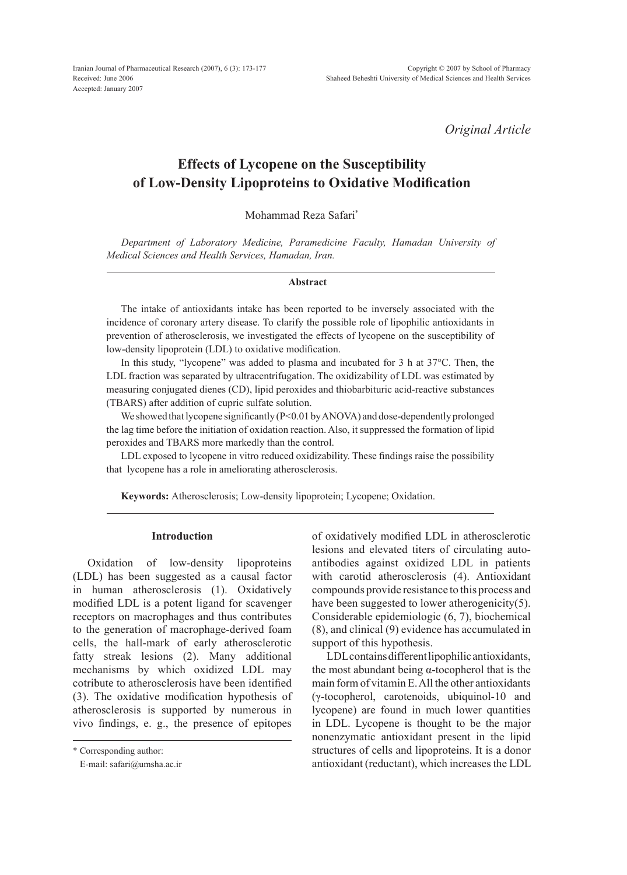Iranian Journal of Pharmaceutical Research (2007), 6 (3): 173-177 Received: June 2006 Accepted: January 2007

*Original Article*

# **Effects of Lycopene on the Susceptibility of Low-Density Lipoproteins to Oxidative Modification**

Mohammad Reza Safari\*

*Department of Laboratory Medicine, Paramedicine Faculty, Hamadan University of Medical Sciences and Health Services, Hamadan, Iran.*

# **Abstract**

The intake of antioxidants intake has been reported to be inversely associated with the incidence of coronary artery disease. To clarify the possible role of lipophilic antioxidants in prevention of atherosclerosis, we investigated the effects of lycopene on the susceptibility of low-density lipoprotein (LDL) to oxidative modification.

In this study, "lycopene" was added to plasma and incubated for 3 h at 37°C. Then, the LDL fraction was separated by ultracentrifugation. The oxidizability of LDL was estimated by measuring conjugated dienes (CD), lipid peroxides and thiobarbituric acid-reactive substances (TBARS) after addition of cupric sulfate solution.

We showed that lycopene significantly (P<0.01 by ANOVA) and dose-dependently prolonged the lag time before the initiation of oxidation reaction. Also, it suppressed the formation of lipid peroxides and TBARS more markedly than the control.

LDL exposed to lycopene in vitro reduced oxidizability. These findings raise the possibility that lycopene has a role in ameliorating atherosclerosis.

**Keywords:** Atherosclerosis; Low-density lipoprotein; Lycopene; Oxidation.

# **Introduction**

Oxidation of low-density lipoproteins (LDL) has been suggested as a causal factor in human atherosclerosis (1). Oxidatively modified LDL is a potent ligand for scavenger receptors on macrophages and thus contributes to the generation of macrophage-derived foam cells, the hall-mark of early atherosclerotic fatty streak lesions (2). Many additional mechanisms by which oxidized LDL may cotribute to atherosclerosis have been identified (3). The oxidative modification hypothesis of atherosclerosis is supported by numerous in vivo findings, e. g., the presence of epitopes of oxidatively modified LDL in atherosclerotic lesions and elevated titers of circulating autoantibodies against oxidized LDL in patients with carotid atherosclerosis (4). Antioxidant compounds provide resistance to this process and have been suggested to lower atherogenicity(5). Considerable epidemiologic (6, 7), biochemical (8), and clinical (9) evidence has accumulated in support of this hypothesis.

LDL contains different lipophilic antioxidants, the most abundant being  $α$ -tocopherol that is the main form of vitamin E. All the other antioxidants (γ-tocopherol, carotenoids, ubiquinol-10 and lycopene) are found in much lower quantities in LDL. Lycopene is thought to be the major nonenzymatic antioxidant present in the lipid structures of cells and lipoproteins. It is a donor antioxidant (reductant), which increases the LDL

<sup>\*</sup> Corresponding author:

E-mail: safari@umsha.ac.ir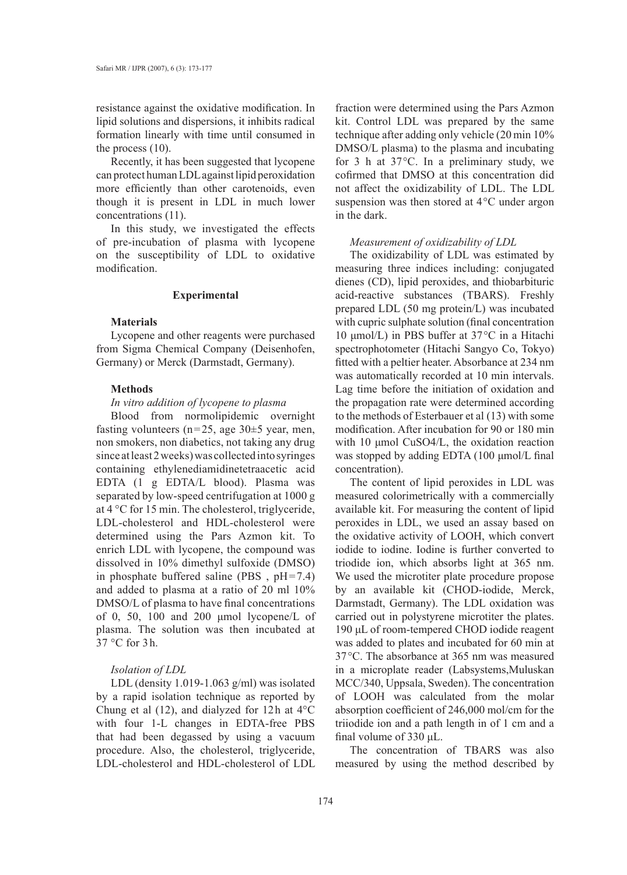resistance against the oxidative modification. In lipid solutions and dispersions, it inhibits radical formation linearly with time until consumed in the process (10).

Recently, it has been suggested that lycopene can protect human LDL against lipid peroxidation more efficiently than other carotenoids, even though it is present in LDL in much lower concentrations (11).

In this study, we investigated the effects of pre-incubation of plasma with lycopene on the susceptibility of LDL to oxidative modification.

# **Experimental**

#### **Materials**

Lycopene and other reagents were purchased from Sigma Chemical Company (Deisenhofen, Germany) or Merck (Darmstadt, Germany).

# **Methods**

# *In vitro addition of lycopene to plasma*

Blood from normolipidemic overnight fasting volunteers ( $n=25$ , age 30 $\pm$ 5 year, men, non smokers, non diabetics, not taking any drug since at least 2 weeks) was collected into syringes containing ethylenediamidinetetraacetic acid EDTA (1 g EDTA/L blood). Plasma was separated by low-speed centrifugation at 1000 g at 4 °C for 15 min. The cholesterol, triglyceride, LDL-cholesterol and HDL-cholesterol were determined using the Pars Azmon kit. To enrich LDL with lycopene, the compound was dissolved in 10% dimethyl sulfoxide (DMSO) in phosphate buffered saline (PBS , pH=7.4) and added to plasma at a ratio of 20 ml 10% DMSO/L of plasma to have final concentrations of 0, 50, 100 and 200 μmol lycopene/L of plasma. The solution was then incubated at 37 °C for 3h.

# *Isolation of LDL*

LDL (density 1.019-1.063 g/ml) was isolated by a rapid isolation technique as reported by Chung et al (12), and dialyzed for 12h at 4°C with four 1-L changes in EDTA-free PBS that had been degassed by using a vacuum procedure. Also, the cholesterol, triglyceride, LDL-cholesterol and HDL-cholesterol of LDL fraction were determined using the Pars Azmon kit. Control LDL was prepared by the same technique after adding only vehicle (20 min 10% DMSO/L plasma) to the plasma and incubating for 3 h at 37°C. In a preliminary study, we cofirmed that DMSO at this concentration did not affect the oxidizability of LDL. The LDL suspension was then stored at 4°C under argon in the dark.

### *Measurement of oxidizability of LDL*

The oxidizability of LDL was estimated by measuring three indices including: conjugated dienes (CD), lipid peroxides, and thiobarbituric acid-reactive substances (TBARS). Freshly prepared LDL (50 mg protein/L) was incubated with cupric sulphate solution (final concentration 10 μmol/L) in PBS buffer at 37°C in a Hitachi spectrophotometer (Hitachi Sangyo Co, Tokyo) fitted with a peltier heater. Absorbance at 234 nm was automatically recorded at 10 min intervals. Lag time before the initiation of oxidation and the propagation rate were determined according to the methods of Esterbauer et al (13) with some modification. After incubation for 90 or 180 min with 10 μmol CuSO4/L, the oxidation reaction was stopped by adding EDTA (100 μmol/L final concentration).

The content of lipid peroxides in LDL was measured colorimetrically with a commercially available kit. For measuring the content of lipid peroxides in LDL, we used an assay based on the oxidative activity of LOOH, which convert iodide to iodine. Iodine is further converted to triodide ion, which absorbs light at 365 nm. We used the microtiter plate procedure propose by an available kit (CHOD-iodide, Merck, Darmstadt, Germany). The LDL oxidation was carried out in polystyrene microtiter the plates. 190 μL of room-tempered CHOD iodide reagent was added to plates and incubated for 60 min at 37°C. The absorbance at 365 nm was measured in a microplate reader (Labsystems,Muluskan MCC/340, Uppsala, Sweden). The concentration of LOOH was calculated from the molar absorption coefficient of 246,000 mol/cm for the triiodide ion and a path length in of 1 cm and a final volume of 330 μL.

The concentration of TBARS was also measured by using the method described by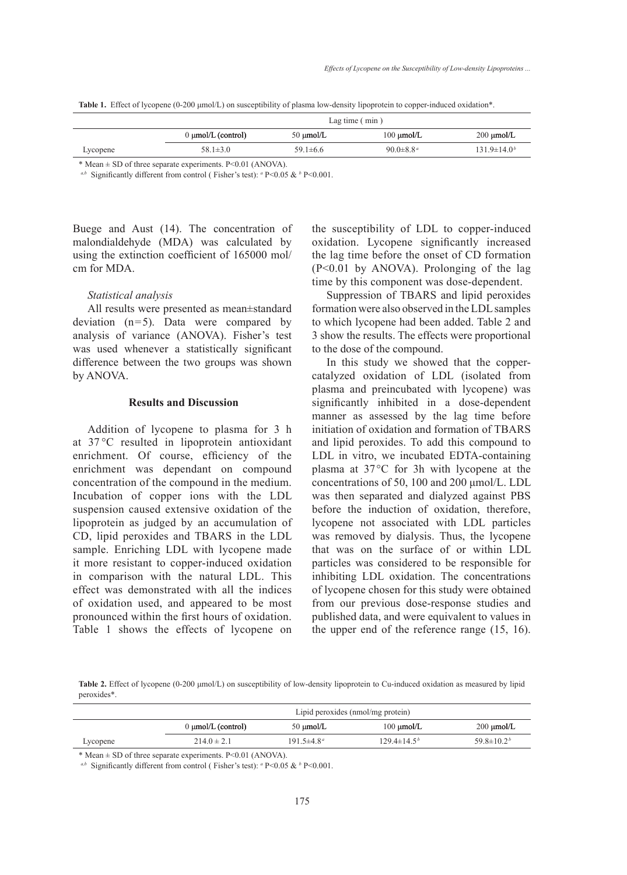|  |  |  | Table 1. Effect of lycopene (0-200 µmol/L) on susceptibility of plasma low-density lipoprotein to copper-induced oxidation*. |  |  |
|--|--|--|------------------------------------------------------------------------------------------------------------------------------|--|--|
|--|--|--|------------------------------------------------------------------------------------------------------------------------------|--|--|

|          | Lag time $(min)$        |                |                             |                        |
|----------|-------------------------|----------------|-----------------------------|------------------------|
|          | $0 \mu$ mol/L (control) | $50 \mu$ mol/L | $100 \mu$ mol/L             | $200 \mu \text{mol/L}$ |
| Lycopene | $58.1 \pm 3.0$          | 59.1 $\pm$ 6.6 | 90.0 $\pm$ 8.8 <sup>a</sup> | $131.9 \pm 14.0^b$     |

\* Mean ± SD of three separate experiments. P<0.01 (ANOVA).

*a,b* Significantly different from control ( Fisher's test): *<sup>a</sup>* P<0.05 & *<sup>b</sup>* P<0.001.

Buege and Aust (14). The concentration of malondialdehyde (MDA) was calculated by using the extinction coefficient of 165000 mol/ cm for MDA.

## *Statistical analysis*

All results were presented as mean±standard deviation  $(n=5)$ . Data were compared by analysis of variance (ANOVA). Fisher's test was used whenever a statistically significant difference between the two groups was shown by ANOVA.

# **Results and Discussion**

Addition of lycopene to plasma for 3 h at 37 °C resulted in lipoprotein antioxidant enrichment. Of course, efficiency of the enrichment was dependant on compound concentration of the compound in the medium. Incubation of copper ions with the LDL suspension caused extensive oxidation of the lipoprotein as judged by an accumulation of CD, lipid peroxides and TBARS in the LDL sample. Enriching LDL with lycopene made it more resistant to copper-induced oxidation in comparison with the natural LDL. This effect was demonstrated with all the indices of oxidation used, and appeared to be most pronounced within the first hours of oxidation. Table 1 shows the effects of lycopene on

the susceptibility of LDL to copper-induced oxidation. Lycopene significantly increased the lag time before the onset of CD formation (P<0.01 by ANOVA). Prolonging of the lag time by this component was dose-dependent.

Suppression of TBARS and lipid peroxides formation were also observed in the LDL samples to which lycopene had been added. Table 2 and 3 show the results. The effects were proportional to the dose of the compound.

In this study we showed that the coppercatalyzed oxidation of LDL (isolated from plasma and preincubated with lycopene) was significantly inhibited in a dose-dependent manner as assessed by the lag time before initiation of oxidation and formation of TBARS and lipid peroxides. To add this compound to LDL in vitro, we incubated EDTA-containing plasma at 37°C for 3h with lycopene at the concentrations of 50, 100 and 200 μmol/L. LDL was then separated and dialyzed against PBS before the induction of oxidation, therefore, lycopene not associated with LDL particles was removed by dialysis. Thus, the lycopene that was on the surface of or within LDL particles was considered to be responsible for inhibiting LDL oxidation. The concentrations of lycopene chosen for this study were obtained from our previous dose-response studies and published data, and were equivalent to values in the upper end of the reference range (15, 16).

**Table 2.** Effect of lycopene (0-200 μmol/L) on susceptibility of low-density lipoprotein to Cu-induced oxidation as measured by lipid peroxides\*.

|          | Lipid peroxides (nmol/mg protein) |                              |                          |                              |
|----------|-----------------------------------|------------------------------|--------------------------|------------------------------|
|          | $0 \mu$ mol/L (control)           | $50 \mu$ mol/L               | $100 \mu$ mol/L          | $200 \mu \text{mol/L}$       |
| Lycopene | $214.0 \pm 2.1$                   | 191.5 $\pm$ 4.8 <sup>a</sup> | $129.4 \pm 14.5^{\circ}$ | 59.8 $\pm$ 10.2 <sup>b</sup> |

 $*$  Mean  $\pm$  SD of three separate experiments. P<0.01 (ANOVA).

*a,b* Significantly different from control ( Fisher's test): *<sup>a</sup>* P<0.05 & *<sup>b</sup>* P<0.001.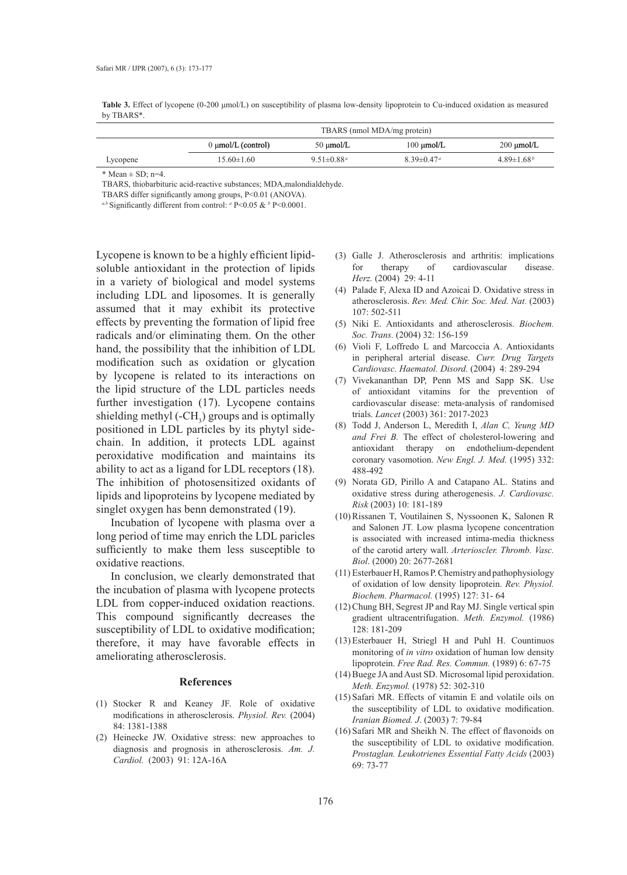**Table 3.** Effect of lycopene (0-200 μmol/L) on susceptibility of plasma low-density lipoprotein to Cu-induced oxidation as measured by TBARS\*.

|          | TBARS (nmol MDA/mg protein) |                              |                              |                        |
|----------|-----------------------------|------------------------------|------------------------------|------------------------|
|          | $0 \mu$ mol/L (control)     | $50 \mu$ mol/L               | $100 \mu$ mol/L              | $200 \mu \text{mol/L}$ |
| Lycopene | $15.60\pm1.60$              | $9.51 \pm 0.88$ <sup>a</sup> | $8.39 \pm 0.47$ <sup>a</sup> | $4.89\pm1.68^{b}$      |

 $*$  Mean  $\pm$  SD; n=4.

TBARS, thiobarbituric acid-reactive substances; MDA,malondialdehyde.

TBARS differ significantly among groups, P<0.01 (ANOVA).

*a,b* Significantly different from control: *<sup>a</sup>* P<0.05 & *<sup>b</sup>* P<0.0001.

Lycopene is known to be a highly efficient lipidsoluble antioxidant in the protection of lipids in a variety of biological and model systems including LDL and liposomes. It is generally assumed that it may exhibit its protective effects by preventing the formation of lipid free radicals and/or eliminating them. On the other hand, the possibility that the inhibition of LDL modification such as oxidation or glycation by lycopene is related to its interactions on the lipid structure of the LDL particles needs further investigation (17). Lycopene contains shielding methyl  $(-CH_3)$  groups and is optimally positioned in LDL particles by its phytyl sidechain. In addition, it protects LDL against peroxidative modification and maintains its ability to act as a ligand for LDL receptors (18). The inhibition of photosensitized oxidants of lipids and lipoproteins by lycopene mediated by singlet oxygen has benn demonstrated (19).

Incubation of lycopene with plasma over a long period of time may enrich the LDL paricles sufficiently to make them less susceptible to oxidative reactions.

In conclusion, we clearly demonstrated that the incubation of plasma with lycopene protects LDL from copper-induced oxidation reactions. This compound significantly decreases the susceptibility of LDL to oxidative modification; therefore, it may have favorable effects in ameliorating atherosclerosis.

### **References**

- Stocker R and Keaney JF. Role of oxidative (1) modifications in atherosclerosis. *Physiol. Rev.* (2004) 84: 1381-1388
- (2) Heinecke JW. Oxidative stress: new approaches to diagnosis and prognosis in atherosclerosis. *Am. J. Cardiol.* (2003) 91: 12A-16A
- (3) Galle J. Atherosclerosis and arthritis: implications for therapy of cardiovascular disease. *Herz.* (2004) 29: 4-11
- Palade F, Alexa ID and Azoicai D. Oxidative stress in (4) atherosclerosis. *Rev. Med. Chir. Soc. Med. Nat.* (2003) 107: 502-511
- (5) Niki E. Antioxidants and atherosclerosis. *Biochem*. *Soc. Trans.* (2004) 32: 156-159
- Violi F, Loffredo L and Marcoccia A. Antioxidants (6) in peripheral arterial disease. *Curr. Drug Targets Cardiovasc. Haematol. Disord.* (2004) 4: 289-294
- (7) Vivekananthan DP, Penn MS and Sapp SK. Use of antioxidant vitamins for the prevention of cardiovascular disease: meta-analysis of randomised trials. *Lancet* (2003) 361: 2017-2023
- Todd J, Anderson L, Meredith I, *Alan C, Yeung MD*  (8) *and Frei B.* The effect of cholesterol-lowering and antioxidant therapy on endothelium-dependent coronary vasomotion. *New Engl. J. Med.* (1995) 332: 488-492
- (9) Norata GD, Pirillo A and Catapano AL. Statins and oxidative stress during atherogenesis. *J. Cardiovasc. Risk* (2003) 10: 181-189
- (10) Rissanen T, Voutilainen S, Nyssoonen K, Salonen R and Salonen JT. Low plasma lycopene concentration is associated with increased intima-media thickness of the carotid artery wall. *Arterioscler. Thromb. Vasc. Biol*. (2000) 20: 2677-2681
- Esterbauer H, Ramos P. Chemistry and pathophysiology (11) of oxidation of low density lipoprotein. *Rev. Physiol. Biochem. Pharmacol.* (1995) 127: 31- 64
- (12) Chung BH, Segrest JP and Ray MJ. Single vertical spin gradient ultracentrifugation. *Meth. Enzymol.* (1986) 128: 181-209
- Esterbauer H, Striegl H and Puhl H. Countinuos (13) monitoring of *in vitro* oxidation of human low density lipoprotein. *Free Rad. Res. Commun.* (1989) 6: 67-75
- (14) Buege JA and Aust SD. Microsomal lipid peroxidation. *Meth. Enzymol.* (1978) 52: 302-310
- $(15)$  Safari MR. Effects of vitamin E and volatile oils on the susceptibility of LDL to oxidative modification. *Iranian Biomed. J*. (2003) 7: 79-84
- $(16)$  Safari MR and Sheikh N. The effect of flavonoids on the susceptibility of LDL to oxidative modification. *Prostaglan. Leukotrienes Essential Fatty Acids* (2003) 69: 73-77